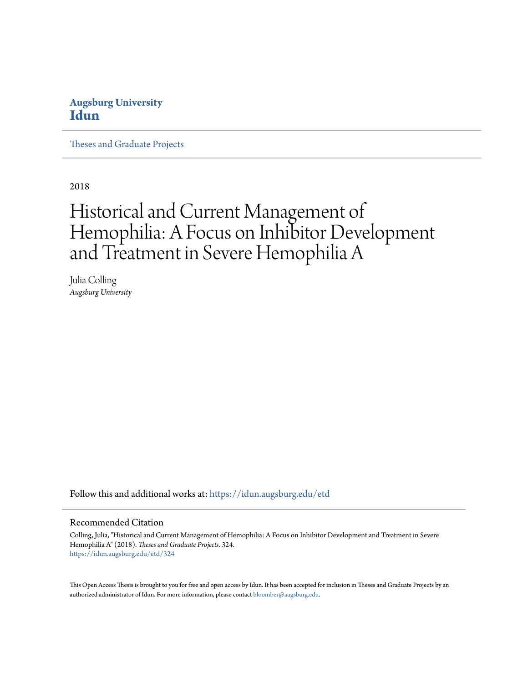### **Augsburg University [Idun](https://idun.augsburg.edu?utm_source=idun.augsburg.edu%2Fetd%2F324&utm_medium=PDF&utm_campaign=PDFCoverPages)**

[Theses and Graduate Projects](https://idun.augsburg.edu/etd?utm_source=idun.augsburg.edu%2Fetd%2F324&utm_medium=PDF&utm_campaign=PDFCoverPages)

2018

# Historical and Current Management of Hemophilia: A Focus on Inhibitor Development and Treatment in Severe Hemophilia A

Julia Colling *Augsburg University*

Follow this and additional works at: [https://idun.augsburg.edu/etd](https://idun.augsburg.edu/etd?utm_source=idun.augsburg.edu%2Fetd%2F324&utm_medium=PDF&utm_campaign=PDFCoverPages)

#### Recommended Citation

Colling, Julia, "Historical and Current Management of Hemophilia: A Focus on Inhibitor Development and Treatment in Severe Hemophilia A" (2018). *Theses and Graduate Projects*. 324. [https://idun.augsburg.edu/etd/324](https://idun.augsburg.edu/etd/324?utm_source=idun.augsburg.edu%2Fetd%2F324&utm_medium=PDF&utm_campaign=PDFCoverPages)

This Open Access Thesis is brought to you for free and open access by Idun. It has been accepted for inclusion in Theses and Graduate Projects by an authorized administrator of Idun. For more information, please contact [bloomber@augsburg.edu.](mailto:bloomber@augsburg.edu)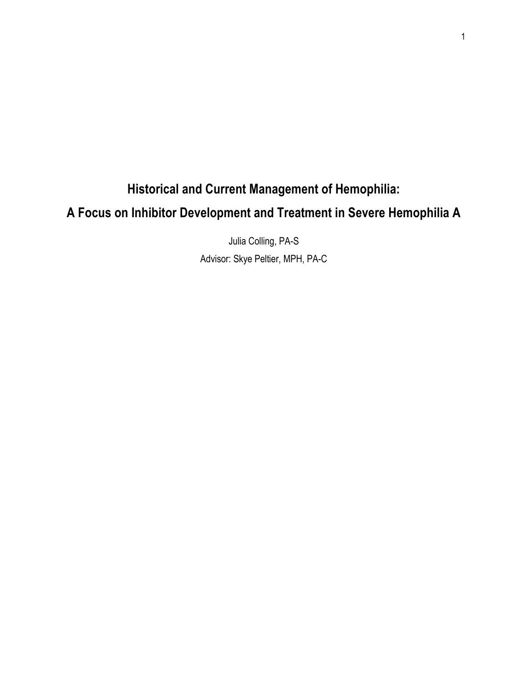## **Historical and Current Management of Hemophilia: A Focus on Inhibitor Development and Treatment in Severe Hemophilia A**

Julia Colling, PA-S Advisor: Skye Peltier, MPH, PA-C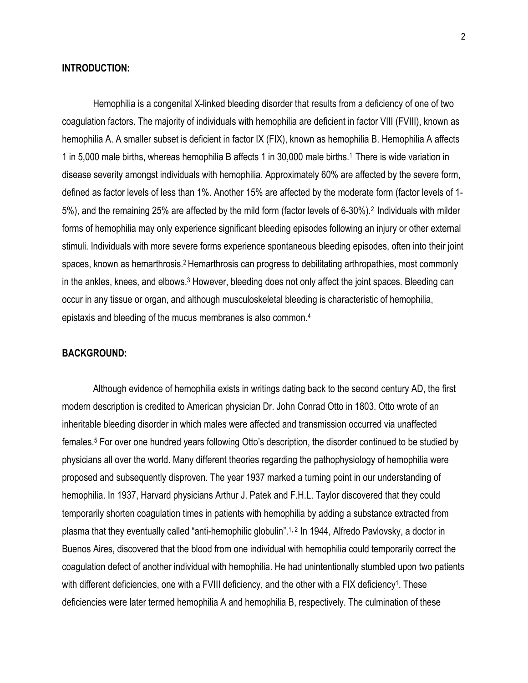#### **INTRODUCTION:**

Hemophilia is a congenital X-linked bleeding disorder that results from a deficiency of one of two coagulation factors. The majority of individuals with hemophilia are deficient in factor VIII (FVIII), known as hemophilia A. A smaller subset is deficient in factor IX (FIX), known as hemophilia B. Hemophilia A affects 1 in 5,000 male births, whereas hemophilia B affects 1 in 30,000 male births. <sup>1</sup> There is wide variation in disease severity amongst individuals with hemophilia. Approximately 60% are affected by the severe form, defined as factor levels of less than 1%. Another 15% are affected by the moderate form (factor levels of 1- 5%), and the remaining 25% are affected by the mild form (factor levels of 6-30%). <sup>2</sup> Individuals with milder forms of hemophilia may only experience significant bleeding episodes following an injury or other external stimuli. Individuals with more severe forms experience spontaneous bleeding episodes, often into their joint spaces, known as hemarthrosis.<sup>2</sup> Hemarthrosis can progress to debilitating arthropathies, most commonly in the ankles, knees, and elbows.<sup>3</sup> However, bleeding does not only affect the joint spaces. Bleeding can occur in any tissue or organ, and although musculoskeletal bleeding is characteristic of hemophilia, epistaxis and bleeding of the mucus membranes is also common.4

#### **BACKGROUND:**

Although evidence of hemophilia exists in writings dating back to the second century AD, the first modern description is credited to American physician Dr. John Conrad Otto in 1803. Otto wrote of an inheritable bleeding disorder in which males were affected and transmission occurred via unaffected females. <sup>5</sup> For over one hundred years following Otto's description, the disorder continued to be studied by physicians all over the world. Many different theories regarding the pathophysiology of hemophilia were proposed and subsequently disproven. The year 1937 marked a turning point in our understanding of hemophilia. In 1937, Harvard physicians Arthur J. Patek and F.H.L. Taylor discovered that they could temporarily shorten coagulation times in patients with hemophilia by adding a substance extracted from plasma that they eventually called "anti-hemophilic globulin". 1, 2 In 1944, Alfredo Pavlovsky, a doctor in Buenos Aires, discovered that the blood from one individual with hemophilia could temporarily correct the coagulation defect of another individual with hemophilia. He had unintentionally stumbled upon two patients with different deficiencies, one with a FVIII deficiency, and the other with a FIX deficiency<sup>1</sup>. These deficiencies were later termed hemophilia A and hemophilia B, respectively. The culmination of these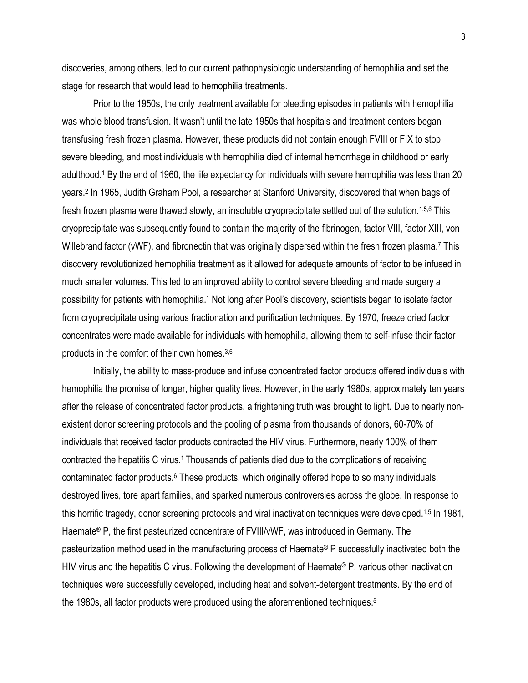discoveries, among others, led to our current pathophysiologic understanding of hemophilia and set the stage for research that would lead to hemophilia treatments.

Prior to the 1950s, the only treatment available for bleeding episodes in patients with hemophilia was whole blood transfusion. It wasn't until the late 1950s that hospitals and treatment centers began transfusing fresh frozen plasma. However, these products did not contain enough FVIII or FIX to stop severe bleeding, and most individuals with hemophilia died of internal hemorrhage in childhood or early adulthood. <sup>1</sup> By the end of 1960, the life expectancy for individuals with severe hemophilia was less than 20 years. <sup>2</sup> In 1965, Judith Graham Pool, a researcher at Stanford University, discovered that when bags of fresh frozen plasma were thawed slowly, an insoluble cryoprecipitate settled out of the solution.1,5,6 This cryoprecipitate was subsequently found to contain the majority of the fibrinogen, factor VIII, factor XIII, von Willebrand factor (vWF), and fibronectin that was originally dispersed within the fresh frozen plasma.<sup>7</sup> This discovery revolutionized hemophilia treatment as it allowed for adequate amounts of factor to be infused in much smaller volumes. This led to an improved ability to control severe bleeding and made surgery a possibility for patients with hemophilia.1 Not long after Pool's discovery, scientists began to isolate factor from cryoprecipitate using various fractionation and purification techniques. By 1970, freeze dried factor concentrates were made available for individuals with hemophilia, allowing them to self-infuse their factor products in the comfort of their own homes. 3,6

Initially, the ability to mass-produce and infuse concentrated factor products offered individuals with hemophilia the promise of longer, higher quality lives. However, in the early 1980s, approximately ten years after the release of concentrated factor products, a frightening truth was brought to light. Due to nearly nonexistent donor screening protocols and the pooling of plasma from thousands of donors, 60-70% of individuals that received factor products contracted the HIV virus. Furthermore, nearly 100% of them contracted the hepatitis C virus. <sup>1</sup> Thousands of patients died due to the complications of receiving contaminated factor products.<sup>6</sup> These products, which originally offered hope to so many individuals, destroyed lives, tore apart families, and sparked numerous controversies across the globe. In response to this horrific tragedy, donor screening protocols and viral inactivation techniques were developed.<sup>1,5</sup> In 1981, Haemate® P, the first pasteurized concentrate of FVIII/vWF, was introduced in Germany. The pasteurization method used in the manufacturing process of Haemate® P successfully inactivated both the HIV virus and the hepatitis C virus. Following the development of Haemate® P, various other inactivation techniques were successfully developed, including heat and solvent-detergent treatments. By the end of the 1980s, all factor products were produced using the aforementioned techniques.5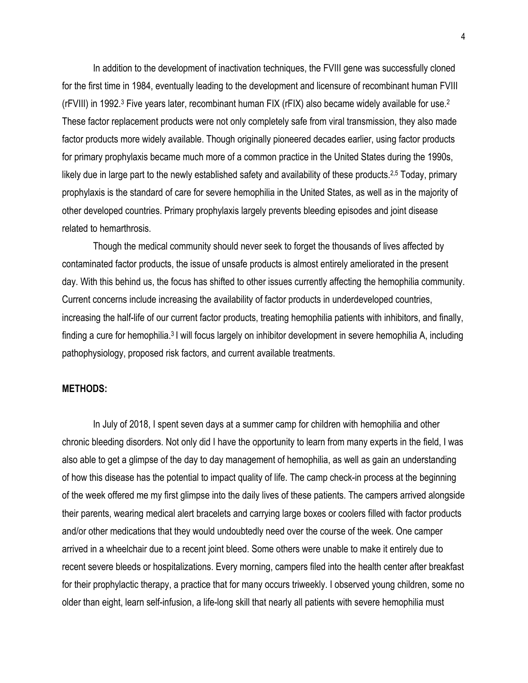In addition to the development of inactivation techniques, the FVIII gene was successfully cloned for the first time in 1984, eventually leading to the development and licensure of recombinant human FVIII (rFVIII) in 1992. <sup>3</sup> Five years later, recombinant human FIX (rFIX) also became widely available for use. 2 These factor replacement products were not only completely safe from viral transmission, they also made factor products more widely available. Though originally pioneered decades earlier, using factor products for primary prophylaxis became much more of a common practice in the United States during the 1990s, likely due in large part to the newly established safety and availability of these products.<sup>2,5</sup> Today, primary prophylaxis is the standard of care for severe hemophilia in the United States, as well as in the majority of other developed countries. Primary prophylaxis largely prevents bleeding episodes and joint disease related to hemarthrosis.

Though the medical community should never seek to forget the thousands of lives affected by contaminated factor products, the issue of unsafe products is almost entirely ameliorated in the present day. With this behind us, the focus has shifted to other issues currently affecting the hemophilia community. Current concerns include increasing the availability of factor products in underdeveloped countries, increasing the half-life of our current factor products, treating hemophilia patients with inhibitors, and finally, finding a cure for hemophilia.<sup>3</sup> I will focus largely on inhibitor development in severe hemophilia A, including pathophysiology, proposed risk factors, and current available treatments.

#### **METHODS:**

In July of 2018, I spent seven days at a summer camp for children with hemophilia and other chronic bleeding disorders. Not only did I have the opportunity to learn from many experts in the field, I was also able to get a glimpse of the day to day management of hemophilia, as well as gain an understanding of how this disease has the potential to impact quality of life. The camp check-in process at the beginning of the week offered me my first glimpse into the daily lives of these patients. The campers arrived alongside their parents, wearing medical alert bracelets and carrying large boxes or coolers filled with factor products and/or other medications that they would undoubtedly need over the course of the week. One camper arrived in a wheelchair due to a recent joint bleed. Some others were unable to make it entirely due to recent severe bleeds or hospitalizations. Every morning, campers filed into the health center after breakfast for their prophylactic therapy, a practice that for many occurs triweekly. I observed young children, some no older than eight, learn self-infusion, a life-long skill that nearly all patients with severe hemophilia must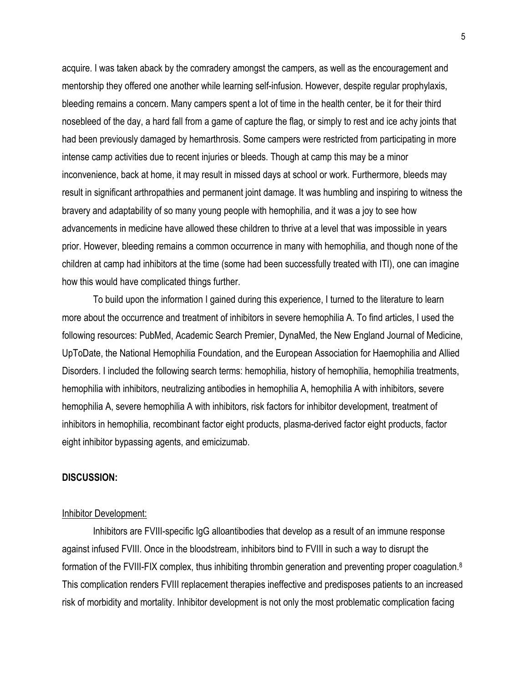acquire. I was taken aback by the comradery amongst the campers, as well as the encouragement and mentorship they offered one another while learning self-infusion. However, despite regular prophylaxis, bleeding remains a concern. Many campers spent a lot of time in the health center, be it for their third nosebleed of the day, a hard fall from a game of capture the flag, or simply to rest and ice achy joints that had been previously damaged by hemarthrosis. Some campers were restricted from participating in more intense camp activities due to recent injuries or bleeds. Though at camp this may be a minor inconvenience, back at home, it may result in missed days at school or work. Furthermore, bleeds may result in significant arthropathies and permanent joint damage. It was humbling and inspiring to witness the bravery and adaptability of so many young people with hemophilia, and it was a joy to see how advancements in medicine have allowed these children to thrive at a level that was impossible in years prior. However, bleeding remains a common occurrence in many with hemophilia, and though none of the children at camp had inhibitors at the time (some had been successfully treated with ITI), one can imagine how this would have complicated things further.

To build upon the information I gained during this experience, I turned to the literature to learn more about the occurrence and treatment of inhibitors in severe hemophilia A. To find articles, I used the following resources: PubMed, Academic Search Premier, DynaMed, the New England Journal of Medicine, UpToDate, the National Hemophilia Foundation, and the European Association for Haemophilia and Allied Disorders. I included the following search terms: hemophilia, history of hemophilia, hemophilia treatments, hemophilia with inhibitors, neutralizing antibodies in hemophilia A, hemophilia A with inhibitors, severe hemophilia A, severe hemophilia A with inhibitors, risk factors for inhibitor development, treatment of inhibitors in hemophilia, recombinant factor eight products, plasma-derived factor eight products, factor eight inhibitor bypassing agents, and emicizumab.

#### **DISCUSSION:**

#### Inhibitor Development:

Inhibitors are FVIII-specific IgG alloantibodies that develop as a result of an immune response against infused FVIII. Once in the bloodstream, inhibitors bind to FVIII in such a way to disrupt the formation of the FVIII-FIX complex, thus inhibiting thrombin generation and preventing proper coagulation.<sup>8</sup> This complication renders FVIII replacement therapies ineffective and predisposes patients to an increased risk of morbidity and mortality. Inhibitor development is not only the most problematic complication facing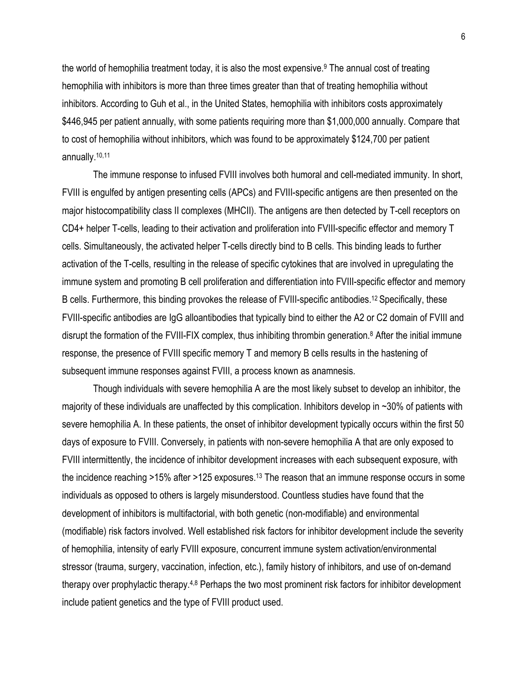the world of hemophilia treatment today, it is also the most expensive. <sup>9</sup> The annual cost of treating hemophilia with inhibitors is more than three times greater than that of treating hemophilia without inhibitors. According to Guh et al., in the United States, hemophilia with inhibitors costs approximately \$446,945 per patient annually, with some patients requiring more than \$1,000,000 annually. Compare that to cost of hemophilia without inhibitors, which was found to be approximately \$124,700 per patient annually.<sup>10,11</sup>

The immune response to infused FVIII involves both humoral and cell-mediated immunity. In short, FVIII is engulfed by antigen presenting cells (APCs) and FVIII-specific antigens are then presented on the major histocompatibility class II complexes (MHCII). The antigens are then detected by T-cell receptors on CD4+ helper T-cells, leading to their activation and proliferation into FVIII-specific effector and memory T cells. Simultaneously, the activated helper T-cells directly bind to B cells. This binding leads to further activation of the T-cells, resulting in the release of specific cytokines that are involved in upregulating the immune system and promoting B cell proliferation and differentiation into FVIII-specific effector and memory B cells. Furthermore, this binding provokes the release of FVIII-specific antibodies. <sup>12</sup> Specifically, these FVIII-specific antibodies are IgG alloantibodies that typically bind to either the A2 or C2 domain of FVIII and disrupt the formation of the FVIII-FIX complex, thus inhibiting thrombin generation.<sup>8</sup> After the initial immune response, the presence of FVIII specific memory T and memory B cells results in the hastening of subsequent immune responses against FVIII, a process known as anamnesis.

Though individuals with severe hemophilia A are the most likely subset to develop an inhibitor, the majority of these individuals are unaffected by this complication. Inhibitors develop in ~30% of patients with severe hemophilia A. In these patients, the onset of inhibitor development typically occurs within the first 50 days of exposure to FVIII. Conversely, in patients with non-severe hemophilia A that are only exposed to FVIII intermittently, the incidence of inhibitor development increases with each subsequent exposure, with the incidence reaching >15% after >125 exposures.13 The reason that an immune response occurs in some individuals as opposed to others is largely misunderstood. Countless studies have found that the development of inhibitors is multifactorial, with both genetic (non-modifiable) and environmental (modifiable) risk factors involved. Well established risk factors for inhibitor development include the severity of hemophilia, intensity of early FVIII exposure, concurrent immune system activation/environmental stressor (trauma, surgery, vaccination, infection, etc.), family history of inhibitors, and use of on-demand therapy over prophylactic therapy.<sup>4,8</sup> Perhaps the two most prominent risk factors for inhibitor development include patient genetics and the type of FVIII product used.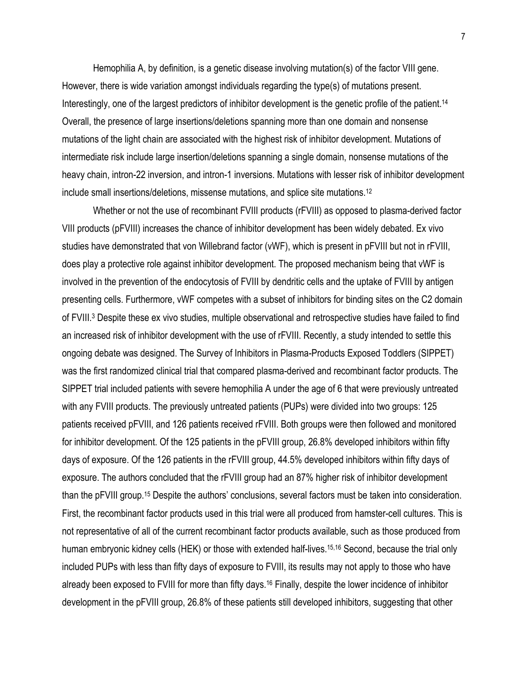Hemophilia A, by definition, is a genetic disease involving mutation(s) of the factor VIII gene. However, there is wide variation amongst individuals regarding the type(s) of mutations present. Interestingly, one of the largest predictors of inhibitor development is the genetic profile of the patient.<sup>14</sup> Overall, the presence of large insertions/deletions spanning more than one domain and nonsense mutations of the light chain are associated with the highest risk of inhibitor development. Mutations of intermediate risk include large insertion/deletions spanning a single domain, nonsense mutations of the heavy chain, intron-22 inversion, and intron-1 inversions. Mutations with lesser risk of inhibitor development include small insertions/deletions, missense mutations, and splice site mutations.12

Whether or not the use of recombinant FVIII products (rFVIII) as opposed to plasma-derived factor VIII products (pFVIII) increases the chance of inhibitor development has been widely debated. Ex vivo studies have demonstrated that von Willebrand factor (vWF), which is present in pFVIII but not in rFVIII, does play a protective role against inhibitor development. The proposed mechanism being that vWF is involved in the prevention of the endocytosis of FVIII by dendritic cells and the uptake of FVIII by antigen presenting cells. Furthermore, vWF competes with a subset of inhibitors for binding sites on the C2 domain of FVIII.3 Despite these ex vivo studies, multiple observational and retrospective studies have failed to find an increased risk of inhibitor development with the use of rFVIII. Recently, a study intended to settle this ongoing debate was designed. The Survey of Inhibitors in Plasma-Products Exposed Toddlers (SIPPET) was the first randomized clinical trial that compared plasma-derived and recombinant factor products. The SIPPET trial included patients with severe hemophilia A under the age of 6 that were previously untreated with any FVIII products. The previously untreated patients (PUPs) were divided into two groups: 125 patients received pFVIII, and 126 patients received rFVIII. Both groups were then followed and monitored for inhibitor development. Of the 125 patients in the pFVIII group, 26.8% developed inhibitors within fifty days of exposure. Of the 126 patients in the rFVIII group, 44.5% developed inhibitors within fifty days of exposure. The authors concluded that the rFVIII group had an 87% higher risk of inhibitor development than the pFVIII group.15 Despite the authors' conclusions, several factors must be taken into consideration. First, the recombinant factor products used in this trial were all produced from hamster-cell cultures. This is not representative of all of the current recombinant factor products available, such as those produced from human embryonic kidney cells (HEK) or those with extended half-lives.<sup>15,16</sup> Second, because the trial only included PUPs with less than fifty days of exposure to FVIII, its results may not apply to those who have already been exposed to FVIII for more than fifty days.16 Finally, despite the lower incidence of inhibitor development in the pFVIII group, 26.8% of these patients still developed inhibitors, suggesting that other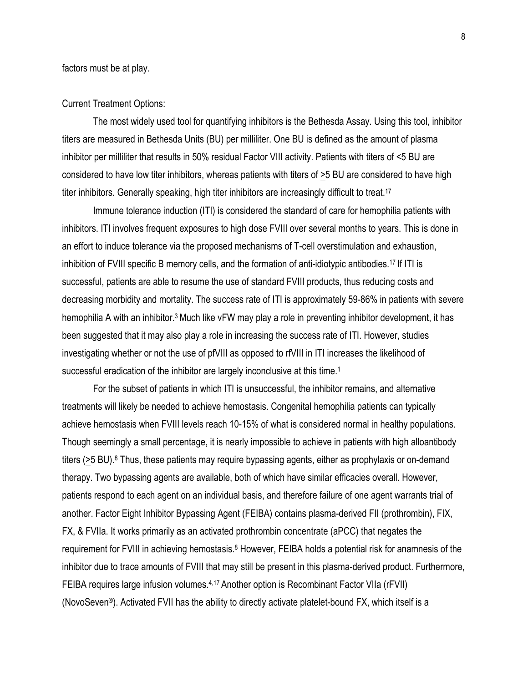factors must be at play.

#### Current Treatment Options:

The most widely used tool for quantifying inhibitors is the Bethesda Assay. Using this tool, inhibitor titers are measured in Bethesda Units (BU) per milliliter. One BU is defined as the amount of plasma inhibitor per milliliter that results in 50% residual Factor VIII activity. Patients with titers of <5 BU are considered to have low titer inhibitors, whereas patients with titers of >5 BU are considered to have high titer inhibitors. Generally speaking, high titer inhibitors are increasingly difficult to treat.<sup>17</sup>

Immune tolerance induction (ITI) is considered the standard of care for hemophilia patients with inhibitors. ITI involves frequent exposures to high dose FVIII over several months to years. This is done in an effort to induce tolerance via the proposed mechanisms of T-cell overstimulation and exhaustion, inhibition of FVIII specific B memory cells, and the formation of anti-idiotypic antibodies. <sup>17</sup> If ITI is successful, patients are able to resume the use of standard FVIII products, thus reducing costs and decreasing morbidity and mortality. The success rate of ITI is approximately 59-86% in patients with severe hemophilia A with an inhibitor.<sup>3</sup> Much like vFW may play a role in preventing inhibitor development, it has been suggested that it may also play a role in increasing the success rate of ITI. However, studies investigating whether or not the use of pfVIII as opposed to rfVIII in ITI increases the likelihood of successful eradication of the inhibitor are largely inconclusive at this time.<sup>1</sup>

For the subset of patients in which ITI is unsuccessful, the inhibitor remains, and alternative treatments will likely be needed to achieve hemostasis. Congenital hemophilia patients can typically achieve hemostasis when FVIII levels reach 10-15% of what is considered normal in healthy populations. Though seemingly a small percentage, it is nearly impossible to achieve in patients with high alloantibody titers (>5 BU).<sup>8</sup> Thus, these patients may require bypassing agents, either as prophylaxis or on-demand therapy. Two bypassing agents are available, both of which have similar efficacies overall. However, patients respond to each agent on an individual basis, and therefore failure of one agent warrants trial of another. Factor Eight Inhibitor Bypassing Agent (FEIBA) contains plasma-derived FII (prothrombin), FIX, FX, & FVIIa. It works primarily as an activated prothrombin concentrate (aPCC) that negates the requirement for FVIII in achieving hemostasis.<sup>8</sup> However, FEIBA holds a potential risk for anamnesis of the inhibitor due to trace amounts of FVIII that may still be present in this plasma-derived product. Furthermore, FEIBA requires large infusion volumes.<sup>4,17</sup> Another option is Recombinant Factor VIIa (rFVII) (NovoSeven®). Activated FVII has the ability to directly activate platelet-bound FX, which itself is a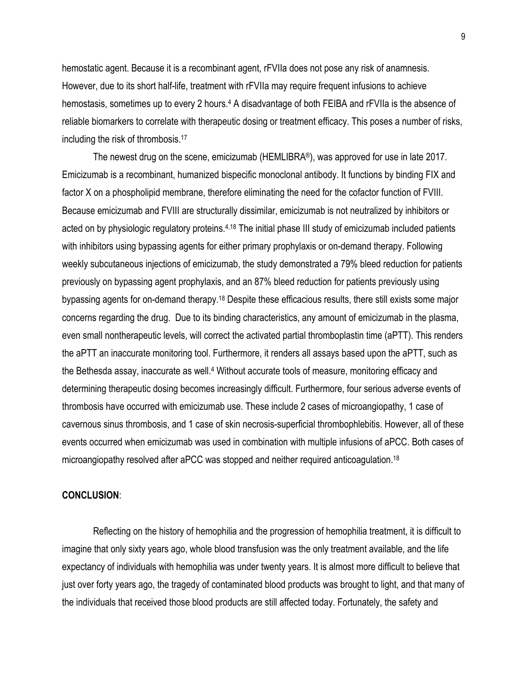hemostatic agent. Because it is a recombinant agent, rFVIIa does not pose any risk of anamnesis. However, due to its short half-life, treatment with rFVIIa may require frequent infusions to achieve hemostasis, sometimes up to every 2 hours.<sup>4</sup> A disadvantage of both FEIBA and rFVIIa is the absence of reliable biomarkers to correlate with therapeutic dosing or treatment efficacy. This poses a number of risks, including the risk of thrombosis.17

The newest drug on the scene, emicizumab (HEMLIBRA®), was approved for use in late 2017. Emicizumab is a recombinant, humanized bispecific monoclonal antibody. It functions by binding FIX and factor X on a phospholipid membrane, therefore eliminating the need for the cofactor function of FVIII. Because emicizumab and FVIII are structurally dissimilar, emicizumab is not neutralized by inhibitors or acted on by physiologic regulatory proteins.4,18 The initial phase III study of emicizumab included patients with inhibitors using bypassing agents for either primary prophylaxis or on-demand therapy. Following weekly subcutaneous injections of emicizumab, the study demonstrated a 79% bleed reduction for patients previously on bypassing agent prophylaxis, and an 87% bleed reduction for patients previously using bypassing agents for on-demand therapy.18 Despite these efficacious results, there still exists some major concerns regarding the drug. Due to its binding characteristics, any amount of emicizumab in the plasma, even small nontherapeutic levels, will correct the activated partial thromboplastin time (aPTT). This renders the aPTT an inaccurate monitoring tool. Furthermore, it renders all assays based upon the aPTT, such as the Bethesda assay, inaccurate as well.<sup>4</sup> Without accurate tools of measure, monitoring efficacy and determining therapeutic dosing becomes increasingly difficult. Furthermore, four serious adverse events of thrombosis have occurred with emicizumab use. These include 2 cases of microangiopathy, 1 case of cavernous sinus thrombosis, and 1 case of skin necrosis-superficial thrombophlebitis. However, all of these events occurred when emicizumab was used in combination with multiple infusions of aPCC. Both cases of microangiopathy resolved after aPCC was stopped and neither required anticoagulation.18

#### **CONCLUSION**:

Reflecting on the history of hemophilia and the progression of hemophilia treatment, it is difficult to imagine that only sixty years ago, whole blood transfusion was the only treatment available, and the life expectancy of individuals with hemophilia was under twenty years. It is almost more difficult to believe that just over forty years ago, the tragedy of contaminated blood products was brought to light, and that many of the individuals that received those blood products are still affected today. Fortunately, the safety and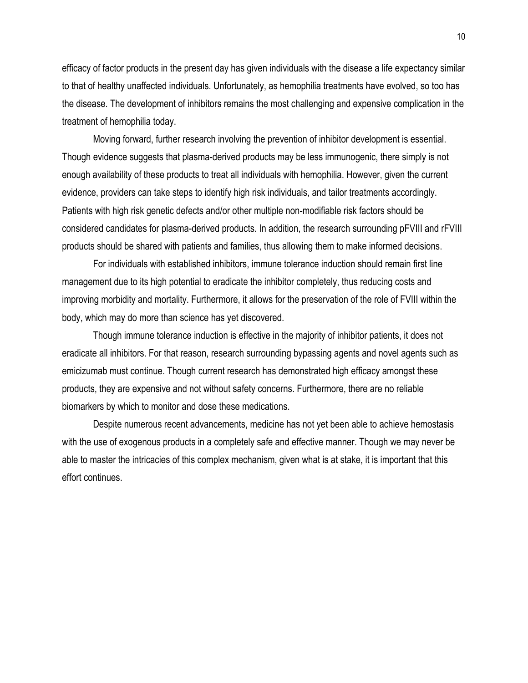efficacy of factor products in the present day has given individuals with the disease a life expectancy similar to that of healthy unaffected individuals. Unfortunately, as hemophilia treatments have evolved, so too has the disease. The development of inhibitors remains the most challenging and expensive complication in the treatment of hemophilia today.

Moving forward, further research involving the prevention of inhibitor development is essential. Though evidence suggests that plasma-derived products may be less immunogenic, there simply is not enough availability of these products to treat all individuals with hemophilia. However, given the current evidence, providers can take steps to identify high risk individuals, and tailor treatments accordingly. Patients with high risk genetic defects and/or other multiple non-modifiable risk factors should be considered candidates for plasma-derived products. In addition, the research surrounding pFVIII and rFVIII products should be shared with patients and families, thus allowing them to make informed decisions.

For individuals with established inhibitors, immune tolerance induction should remain first line management due to its high potential to eradicate the inhibitor completely, thus reducing costs and improving morbidity and mortality. Furthermore, it allows for the preservation of the role of FVIII within the body, which may do more than science has yet discovered.

Though immune tolerance induction is effective in the majority of inhibitor patients, it does not eradicate all inhibitors. For that reason, research surrounding bypassing agents and novel agents such as emicizumab must continue. Though current research has demonstrated high efficacy amongst these products, they are expensive and not without safety concerns. Furthermore, there are no reliable biomarkers by which to monitor and dose these medications.

Despite numerous recent advancements, medicine has not yet been able to achieve hemostasis with the use of exogenous products in a completely safe and effective manner. Though we may never be able to master the intricacies of this complex mechanism, given what is at stake, it is important that this effort continues.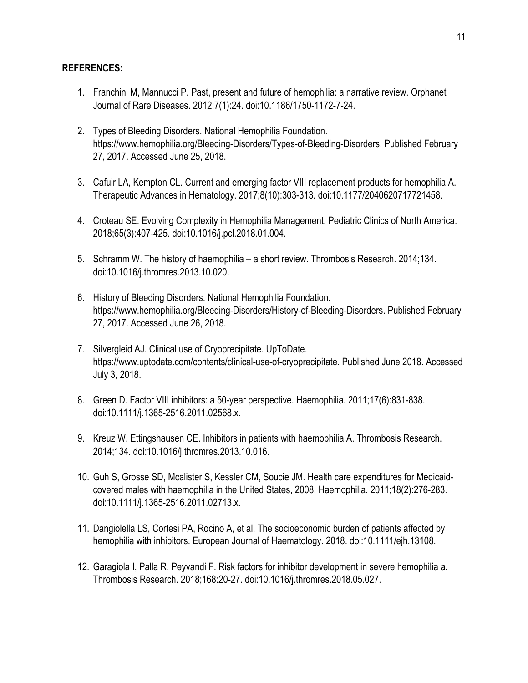### **REFERENCES:**

- 1. Franchini M, Mannucci P. Past, present and future of hemophilia: a narrative review. Orphanet Journal of Rare Diseases. 2012;7(1):24. doi:10.1186/1750-1172-7-24.
- 2. Types of Bleeding Disorders. National Hemophilia Foundation. https://www.hemophilia.org/Bleeding-Disorders/Types-of-Bleeding-Disorders. Published February 27, 2017. Accessed June 25, 2018.
- 3. Cafuir LA, Kempton CL. Current and emerging factor VIII replacement products for hemophilia A. Therapeutic Advances in Hematology. 2017;8(10):303-313. doi:10.1177/2040620717721458.
- 4. Croteau SE. Evolving Complexity in Hemophilia Management. Pediatric Clinics of North America. 2018;65(3):407-425. doi:10.1016/j.pcl.2018.01.004.
- 5. Schramm W. The history of haemophilia a short review. Thrombosis Research. 2014;134. doi:10.1016/j.thromres.2013.10.020.
- 6. History of Bleeding Disorders. National Hemophilia Foundation. https://www.hemophilia.org/Bleeding-Disorders/History-of-Bleeding-Disorders. Published February 27, 2017. Accessed June 26, 2018.
- 7. Silvergleid AJ. Clinical use of Cryoprecipitate. UpToDate. https://www.uptodate.com/contents/clinical-use-of-cryoprecipitate. Published June 2018. Accessed July 3, 2018.
- 8. Green D. Factor VIII inhibitors: a 50-year perspective. Haemophilia. 2011;17(6):831-838. doi:10.1111/j.1365-2516.2011.02568.x.
- 9. Kreuz W, Ettingshausen CE. Inhibitors in patients with haemophilia A. Thrombosis Research. 2014;134. doi:10.1016/j.thromres.2013.10.016.
- 10. Guh S, Grosse SD, Mcalister S, Kessler CM, Soucie JM. Health care expenditures for Medicaidcovered males with haemophilia in the United States, 2008. Haemophilia. 2011;18(2):276-283. doi:10.1111/j.1365-2516.2011.02713.x.
- 11. Dangiolella LS, Cortesi PA, Rocino A, et al. The socioeconomic burden of patients affected by hemophilia with inhibitors. European Journal of Haematology. 2018. doi:10.1111/ejh.13108.
- 12. Garagiola I, Palla R, Peyvandi F. Risk factors for inhibitor development in severe hemophilia a. Thrombosis Research. 2018;168:20-27. doi:10.1016/j.thromres.2018.05.027.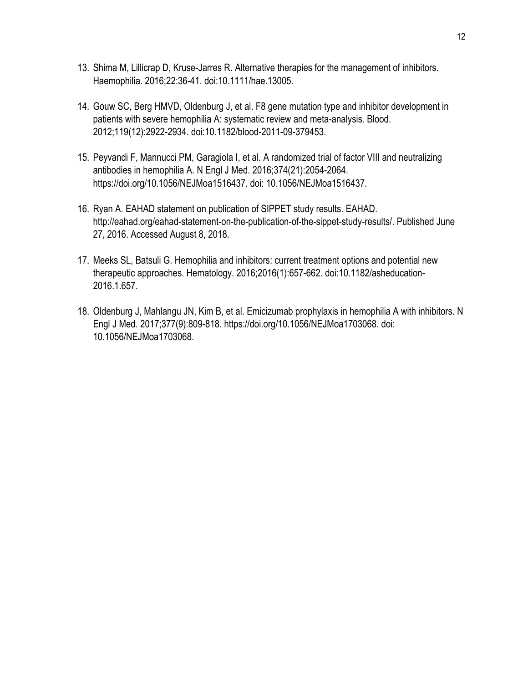- 13. Shima M, Lillicrap D, Kruse-Jarres R. Alternative therapies for the management of inhibitors. Haemophilia. 2016;22:36-41. doi:10.1111/hae.13005.
- 14. Gouw SC, Berg HMVD, Oldenburg J, et al. F8 gene mutation type and inhibitor development in patients with severe hemophilia A: systematic review and meta-analysis. Blood. 2012;119(12):2922-2934. doi:10.1182/blood-2011-09-379453.
- 15. Peyvandi F, Mannucci PM, Garagiola I, et al. A randomized trial of factor VIII and neutralizing antibodies in hemophilia A. N Engl J Med. 2016;374(21):2054-2064. https://doi.org/10.1056/NEJMoa1516437. doi: 10.1056/NEJMoa1516437.
- 16. Ryan A. EAHAD statement on publication of SIPPET study results. EAHAD. http://eahad.org/eahad-statement-on-the-publication-of-the-sippet-study-results/. Published June 27, 2016. Accessed August 8, 2018.
- 17. Meeks SL, Batsuli G. Hemophilia and inhibitors: current treatment options and potential new therapeutic approaches. Hematology. 2016;2016(1):657-662. doi:10.1182/asheducation-2016.1.657.
- 18. Oldenburg J, Mahlangu JN, Kim B, et al. Emicizumab prophylaxis in hemophilia A with inhibitors. N Engl J Med. 2017;377(9):809-818. https://doi.org/10.1056/NEJMoa1703068. doi: 10.1056/NEJMoa1703068.